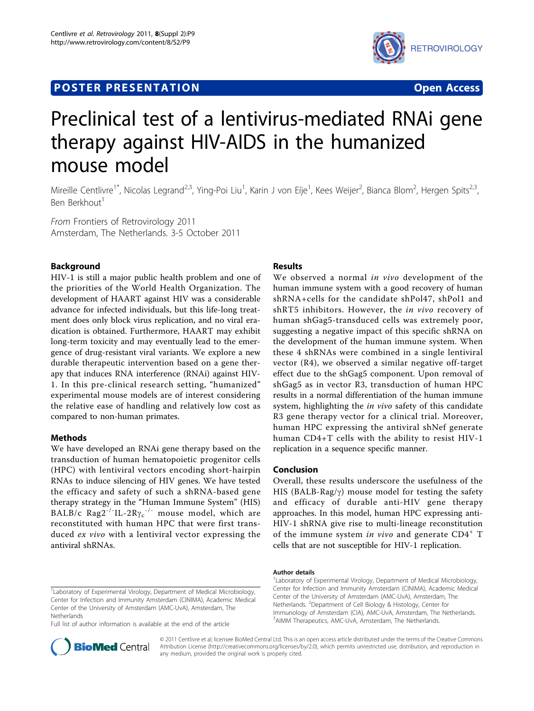# **POSTER PRESENTATION CONSUMING ACCESS**



# Preclinical test of a lentivirus-mediated RNAi gene therapy against HIV-AIDS in the humanized mouse model

Mireille Centlivre<sup>1\*</sup>, Nicolas Legrand<sup>2,3</sup>, Ying-Poi Liu<sup>1</sup>, Karin J von Eíje<sup>1</sup>, Kees Weijer<sup>2</sup>, Bianca Blom<sup>2</sup>, Hergen Spits<sup>2,3</sup>, Ben Berkhout<sup>1</sup>

From Frontiers of Retrovirology 2011 Amsterdam, The Netherlands. 3-5 October 2011

# Background

HIV-1 is still a major public health problem and one of the priorities of the World Health Organization. The development of HAART against HIV was a considerable advance for infected individuals, but this life-long treatment does only block virus replication, and no viral eradication is obtained. Furthermore, HAART may exhibit long-term toxicity and may eventually lead to the emergence of drug-resistant viral variants. We explore a new durable therapeutic intervention based on a gene therapy that induces RNA interference (RNAi) against HIV-1. In this pre-clinical research setting, "humanized" experimental mouse models are of interest considering the relative ease of handling and relatively low cost as compared to non-human primates.

## Methods

We have developed an RNAi gene therapy based on the transduction of human hematopoietic progenitor cells (HPC) with lentiviral vectors encoding short-hairpin RNAs to induce silencing of HIV genes. We have tested the efficacy and safety of such a shRNA-based gene therapy strategy in the "Human Immune System" (HIS)  $BALB/c$   $Rag2^{-1}L-2R\gamma_c^{-1}$  mouse model, which are<br>reconstituted with buman HPC that were first transreconstituted with human HPC that were first transduced ex vivo with a lentiviral vector expressing the antiviral shRNAs.

## Results

We observed a normal in vivo development of the human immune system with a good recovery of human shRNA+cells for the candidate shPol47, shPol1 and shRT5 inhibitors. However, the *in vivo* recovery of human shGag5-transduced cells was extremely poor, suggesting a negative impact of this specific shRNA on the development of the human immune system. When these 4 shRNAs were combined in a single lentiviral vector (R4), we observed a similar negative off-target effect due to the shGag5 component. Upon removal of shGag5 as in vector R3, transduction of human HPC results in a normal differentiation of the human immune system, highlighting the *in vivo* safety of this candidate R3 gene therapy vector for a clinical trial. Moreover, human HPC expressing the antiviral shNef generate human CD4+T cells with the ability to resist HIV-1 replication in a sequence specific manner.

#### Conclusion

Overall, these results underscore the usefulness of the HIS (BALB-Rag/ $\gamma$ ) mouse model for testing the safety and efficacy of durable anti-HIV gene therapy approaches. In this model, human HPC expressing anti-HIV-1 shRNA give rise to multi-lineage reconstitution of the immune system in vivo and generate  $CD4^+$  T cells that are not susceptible for HIV-1 replication.

Full list of author information is available at the end of the article



© 2011 Centlivre et al; licensee BioMed Central Ltd. This is an open access article distributed under the terms of the Creative Commons Attribution License [\(http://creativecommons.org/licenses/by/2.0](http://creativecommons.org/licenses/by/2.0)), which permits unrestricted use, distribution, and reproduction in any medium, provided the original work is properly cited.

#### Author details

<sup>1</sup> Laboratory of Experimental Virology, Department of Medical Microbiology, Center for Infection and Immunity Amsterdam (CINIMA), Academic Medical Center of the University of Amsterdam (AMC-UvA), Amsterdam, The Netherlands. <sup>2</sup>Department of Cell Biology & Histology, Center for Immunology of Amsterdam (CIA), AMC-UvA, Amsterdam, The Netherlands. 3 AIMM Therapeutics, AMC-UvA, Amsterdam, The Netherlands.

<sup>&</sup>lt;sup>1</sup> Laboratory of Experimental Virology, Department of Medical Microbiology, Center for Infection and Immunity Amsterdam (CINIMA), Academic Medical Center of the University of Amsterdam (AMC-UvA), Amsterdam, The Netherlands